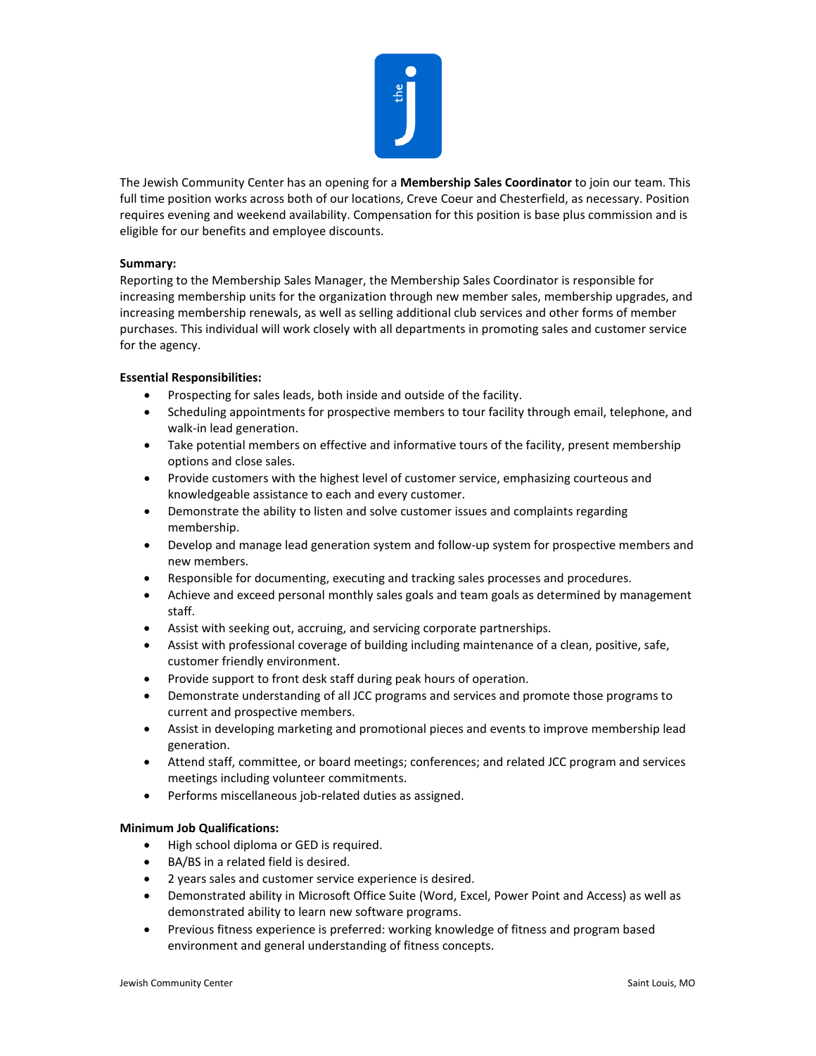

The Jewish Community Center has an opening for a **Membership Sales Coordinator** to join our team. This full time position works across both of our locations, Creve Coeur and Chesterfield, as necessary. Position requires evening and weekend availability. Compensation for this position is base plus commission and is eligible for our benefits and employee discounts.

## **Summary:**

Reporting to the Membership Sales Manager, the Membership Sales Coordinator is responsible for increasing membership units for the organization through new member sales, membership upgrades, and increasing membership renewals, as well as selling additional club services and other forms of member purchases. This individual will work closely with all departments in promoting sales and customer service for the agency.

## **Essential Responsibilities:**

- Prospecting for sales leads, both inside and outside of the facility.
- Scheduling appointments for prospective members to tour facility through email, telephone, and walk-in lead generation.
- Take potential members on effective and informative tours of the facility, present membership options and close sales.
- Provide customers with the highest level of customer service, emphasizing courteous and knowledgeable assistance to each and every customer.
- Demonstrate the ability to listen and solve customer issues and complaints regarding membership.
- Develop and manage lead generation system and follow-up system for prospective members and new members.
- Responsible for documenting, executing and tracking sales processes and procedures.
- Achieve and exceed personal monthly sales goals and team goals as determined by management staff.
- Assist with seeking out, accruing, and servicing corporate partnerships.
- Assist with professional coverage of building including maintenance of a clean, positive, safe, customer friendly environment.
- Provide support to front desk staff during peak hours of operation.
- Demonstrate understanding of all JCC programs and services and promote those programs to current and prospective members.
- Assist in developing marketing and promotional pieces and events to improve membership lead generation.
- Attend staff, committee, or board meetings; conferences; and related JCC program and services meetings including volunteer commitments.
- Performs miscellaneous job-related duties as assigned.

## **Minimum Job Qualifications:**

- High school diploma or GED is required.
- BA/BS in a related field is desired.
- 2 years sales and customer service experience is desired.
- Demonstrated ability in Microsoft Office Suite (Word, Excel, Power Point and Access) as well as demonstrated ability to learn new software programs.
- Previous fitness experience is preferred: working knowledge of fitness and program based environment and general understanding of fitness concepts.